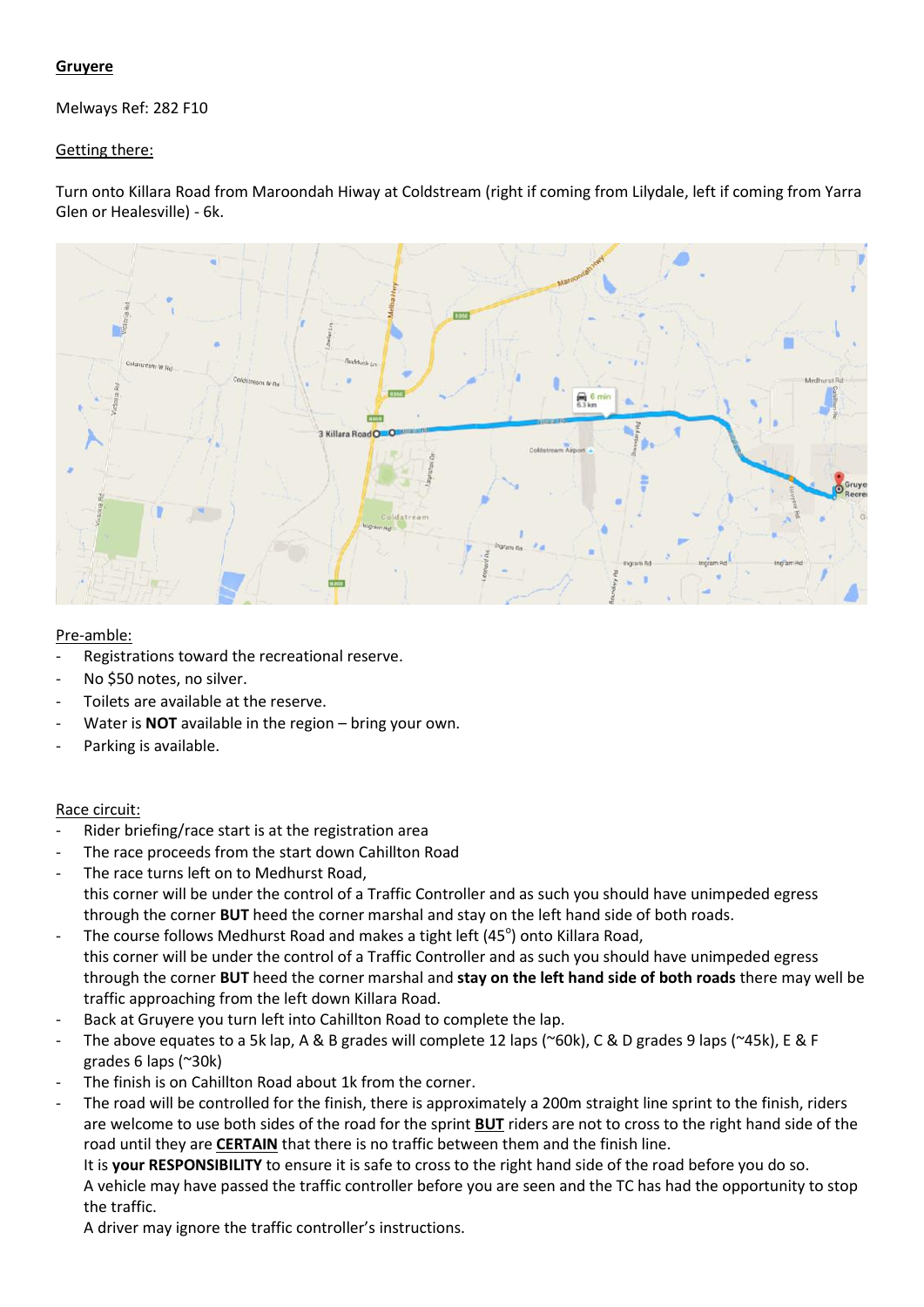## **Gruyere**

Melways Ref: 282 F10

## Getting there:

Turn onto Killara Road from Maroondah Hiway at Coldstream (right if coming from Lilydale, left if coming from Yarra Glen or Healesville) - 6k.



## Pre-amble:

- Registrations toward the recreational reserve.
- No \$50 notes, no silver.
- Toilets are available at the reserve.
- Water is **NOT** available in the region bring your own.
- Parking is available.

## Race circuit:

- Rider briefing/race start is at the registration area
- The race proceeds from the start down Cahillton Road
- The race turns left on to Medhurst Road, this corner will be under the control of a Traffic Controller and as such you should have unimpeded egress through the corner **BUT** heed the corner marshal and stay on the left hand side of both roads.
- The course follows Medhurst Road and makes a tight left (45 $^{\circ}$ ) onto Killara Road, this corner will be under the control of a Traffic Controller and as such you should have unimpeded egress through the corner **BUT** heed the corner marshal and **stay on the left hand side of both roads** there may well be traffic approaching from the left down Killara Road.
- Back at Gruyere you turn left into Cahillton Road to complete the lap.
- The above equates to a 5k lap, A & B grades will complete 12 laps (~60k), C & D grades 9 laps (~45k), E & F grades 6 laps (~30k)
- The finish is on Cahillton Road about 1k from the corner.
- The road will be controlled for the finish, there is approximately a 200m straight line sprint to the finish, riders are welcome to use both sides of the road for the sprint **BUT** riders are not to cross to the right hand side of the road until they are **CERTAIN** that there is no traffic between them and the finish line.

It is **your RESPONSIBILITY** to ensure it is safe to cross to the right hand side of the road before you do so. A vehicle may have passed the traffic controller before you are seen and the TC has had the opportunity to stop the traffic.

A driver may ignore the traffic controller's instructions.